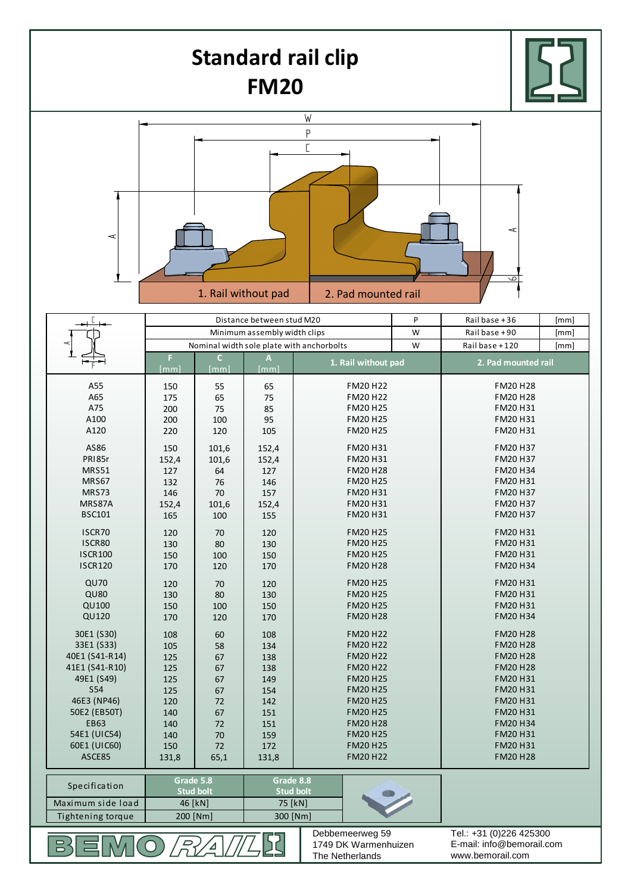